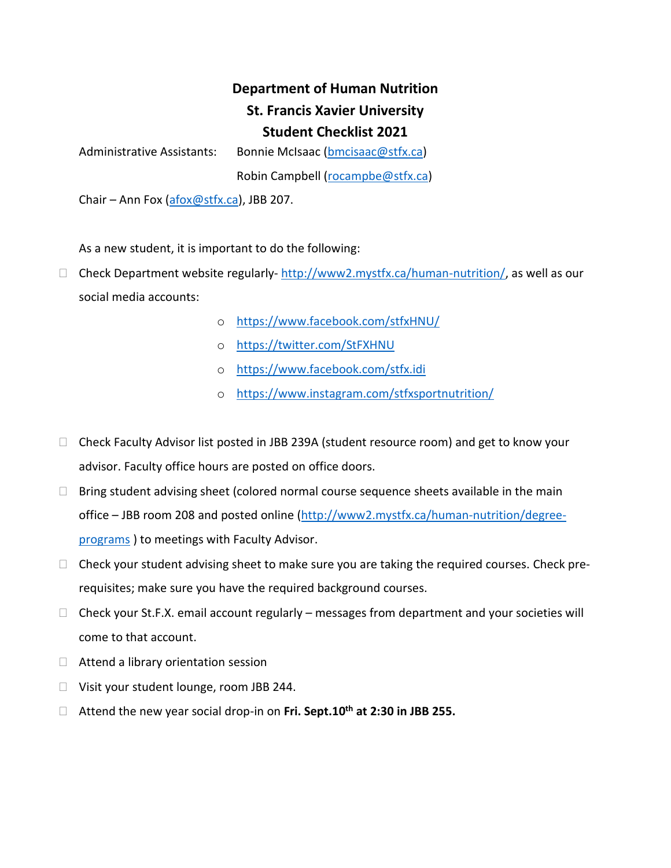## **Department of Human Nutrition St. Francis Xavier University Student Checklist 2021**

Administrative Assistants: Bonnie McIsaac [\(bmcisaac@stfx.ca\)](mailto:bmcisaac@stfx.ca) Robin Campbell [\(rocampbe@stfx.ca\)](mailto:rocampbe@stfx.ca)

Chair – Ann Fox [\(afox@stfx.ca\)](mailto:afox@stfx.ca), JBB 207.

As a new student, it is important to do the following:

- $\Box$  Check Department website regularly- [http://www2.mystfx.ca/human-nutrition/,](http://www2.mystfx.ca/human-nutrition/) as well as our social media accounts:
	- o <https://www.facebook.com/stfxHNU/>
	- o <https://twitter.com/StFXHNU>
	- o <https://www.facebook.com/stfx.idi>
	- o <https://www.instagram.com/stfxsportnutrition/>
- $\Box$  Check Faculty Advisor list posted in JBB 239A (student resource room) and get to know your advisor. Faculty office hours are posted on office doors.
- $\Box$  Bring student advising sheet (colored normal course sequence sheets available in the main office – JBB room 208 and posted online [\(http://www2.mystfx.ca/human-nutrition/degree](http://www2.mystfx.ca/human-nutrition/degree-programs)[programs](http://www2.mystfx.ca/human-nutrition/degree-programs) ) to meetings with Faculty Advisor.
- $\Box$  Check your student advising sheet to make sure you are taking the required courses. Check prerequisites; make sure you have the required background courses.
- $\Box$  Check your St.F.X. email account regularly messages from department and your societies will come to that account.
- $\Box$  Attend a library orientation session
- □ Visit your student lounge, room JBB 244.
- Attend the new year social drop-in on **Fri. Sept.10th at 2:30 in JBB 255.**